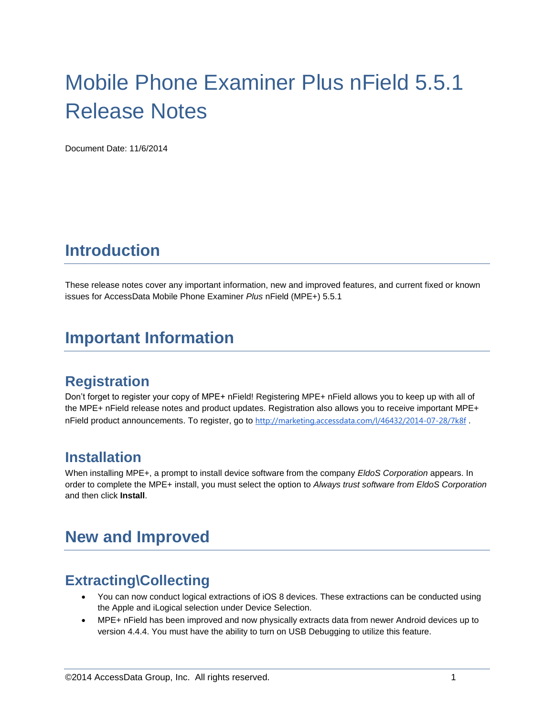# Mobile Phone Examiner Plus nField 5.5.1 Release Notes

Document Date: 11/6/2014

# **Introduction**

These release notes cover any important information, new and improved features, and current fixed or known issues for AccessData Mobile Phone Examiner *Plus* nField (MPE+) 5.5.1

### **Important Information**

### **Registration**

Don't forget to register your copy of MPE+ nField! Registering MPE+ nField allows you to keep up with all of the MPE+ nField release notes and product updates. Registration also allows you to receive important MPE+ nField product announcements. To register, go to <http://marketing.accessdata.com/l/46432/2014-07-28/7k8f>.

### **Installation**

When installing MPE+, a prompt to install device software from the company *EldoS Corporation* appears. In order to complete the MPE+ install, you must select the option to *Always trust software from EldoS Corporation* and then click **Install**.

# **New and Improved**

### **Extracting\Collecting**

- You can now conduct logical extractions of iOS 8 devices. These extractions can be conducted using the Apple and iLogical selection under Device Selection.
- MPE+ nField has been improved and now physically extracts data from newer Android devices up to version 4.4.4. You must have the ability to turn on USB Debugging to utilize this feature.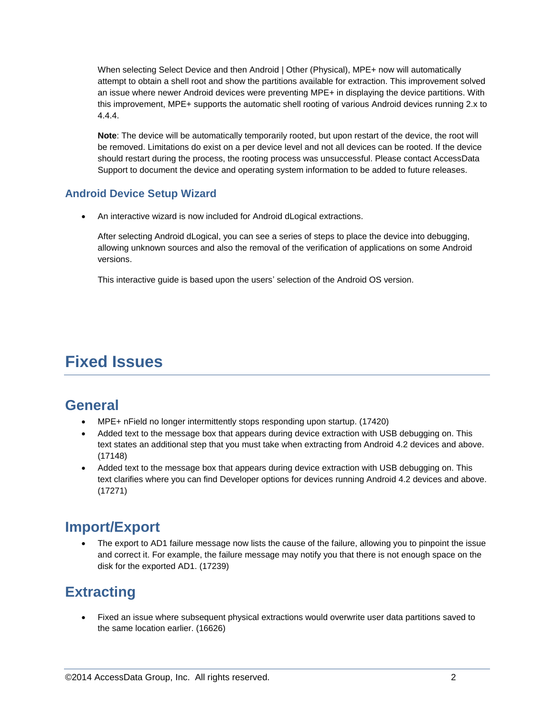When selecting Select Device and then Android | Other (Physical), MPE+ now will automatically attempt to obtain a shell root and show the partitions available for extraction. This improvement solved an issue where newer Android devices were preventing MPE+ in displaying the device partitions. With this improvement, MPE+ supports the automatic shell rooting of various Android devices running 2.x to 4.4.4.

**Note**: The device will be automatically temporarily rooted, but upon restart of the device, the root will be removed. Limitations do exist on a per device level and not all devices can be rooted. If the device should restart during the process, the rooting process was unsuccessful. Please contact AccessData Support to document the device and operating system information to be added to future releases.

#### **Android Device Setup Wizard**

An interactive wizard is now included for Android dLogical extractions.

After selecting Android dLogical, you can see a series of steps to place the device into debugging, allowing unknown sources and also the removal of the verification of applications on some Android versions.

This interactive guide is based upon the users' selection of the Android OS version.

# **Fixed Issues**

### **General**

- MPE+ nField no longer intermittently stops responding upon startup. (17420)
- Added text to the message box that appears during device extraction with USB debugging on. This text states an additional step that you must take when extracting from Android 4.2 devices and above. (17148)
- Added text to the message box that appears during device extraction with USB debugging on. This text clarifies where you can find Developer options for devices running Android 4.2 devices and above. (17271)

### **Import/Export**

 The export to AD1 failure message now lists the cause of the failure, allowing you to pinpoint the issue and correct it. For example, the failure message may notify you that there is not enough space on the disk for the exported AD1. (17239)

# **Extracting**

 Fixed an issue where subsequent physical extractions would overwrite user data partitions saved to the same location earlier. (16626)